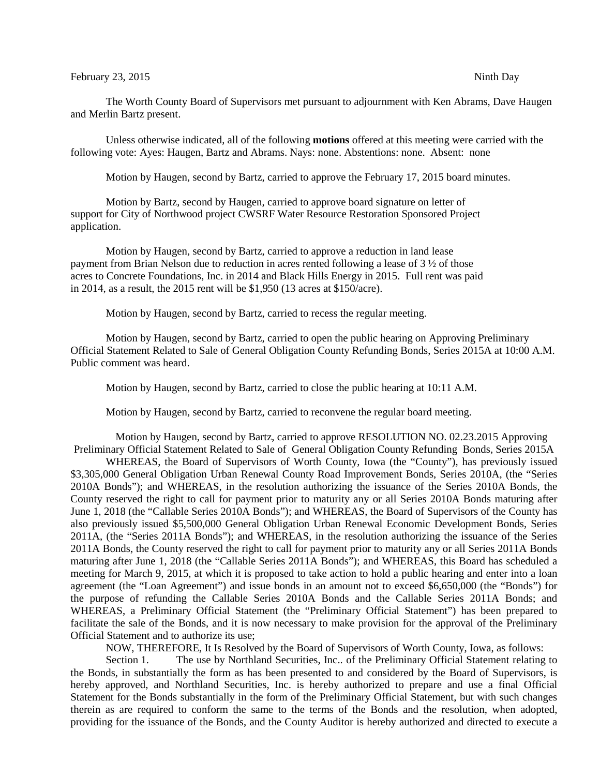## February 23, 2015 Ninth Day

The Worth County Board of Supervisors met pursuant to adjournment with Ken Abrams, Dave Haugen and Merlin Bartz present.

Unless otherwise indicated, all of the following **motions** offered at this meeting were carried with the following vote: Ayes: Haugen, Bartz and Abrams. Nays: none. Abstentions: none. Absent: none

Motion by Haugen, second by Bartz, carried to approve the February 17, 2015 board minutes.

Motion by Bartz, second by Haugen, carried to approve board signature on letter of support for City of Northwood project CWSRF Water Resource Restoration Sponsored Project application.

Motion by Haugen, second by Bartz, carried to approve a reduction in land lease payment from Brian Nelson due to reduction in acres rented following a lease of 3 ½ of those acres to Concrete Foundations, Inc. in 2014 and Black Hills Energy in 2015. Full rent was paid in 2014, as a result, the 2015 rent will be \$1,950 (13 acres at \$150/acre).

Motion by Haugen, second by Bartz, carried to recess the regular meeting.

Motion by Haugen, second by Bartz, carried to open the public hearing on Approving Preliminary Official Statement Related to Sale of General Obligation County Refunding Bonds, Series 2015A at 10:00 A.M. Public comment was heard.

Motion by Haugen, second by Bartz, carried to close the public hearing at 10:11 A.M.

Motion by Haugen, second by Bartz, carried to reconvene the regular board meeting.

Motion by Haugen, second by Bartz, carried to approve RESOLUTION NO. 02.23.2015 Approving Preliminary Official Statement Related to Sale of General Obligation County Refunding Bonds, Series 2015A

WHEREAS, the Board of Supervisors of Worth County, Iowa (the "County"), has previously issued \$3,305,000 General Obligation Urban Renewal County Road Improvement Bonds, Series 2010A, (the "Series 2010A Bonds"); and WHEREAS, in the resolution authorizing the issuance of the Series 2010A Bonds, the County reserved the right to call for payment prior to maturity any or all Series 2010A Bonds maturing after June 1, 2018 (the "Callable Series 2010A Bonds"); and WHEREAS, the Board of Supervisors of the County has also previously issued \$5,500,000 General Obligation Urban Renewal Economic Development Bonds, Series 2011A, (the "Series 2011A Bonds"); and WHEREAS, in the resolution authorizing the issuance of the Series 2011A Bonds, the County reserved the right to call for payment prior to maturity any or all Series 2011A Bonds maturing after June 1, 2018 (the "Callable Series 2011A Bonds"); and WHEREAS, this Board has scheduled a meeting for March 9, 2015, at which it is proposed to take action to hold a public hearing and enter into a loan agreement (the "Loan Agreement") and issue bonds in an amount not to exceed \$6,650,000 (the "Bonds") for the purpose of refunding the Callable Series 2010A Bonds and the Callable Series 2011A Bonds; and WHEREAS, a Preliminary Official Statement (the "Preliminary Official Statement") has been prepared to facilitate the sale of the Bonds, and it is now necessary to make provision for the approval of the Preliminary Official Statement and to authorize its use;

NOW, THEREFORE, It Is Resolved by the Board of Supervisors of Worth County, Iowa, as follows:

Section 1. The use by Northland Securities, Inc.. of the Preliminary Official Statement relating to the Bonds, in substantially the form as has been presented to and considered by the Board of Supervisors, is hereby approved, and Northland Securities, Inc. is hereby authorized to prepare and use a final Official Statement for the Bonds substantially in the form of the Preliminary Official Statement, but with such changes therein as are required to conform the same to the terms of the Bonds and the resolution, when adopted, providing for the issuance of the Bonds, and the County Auditor is hereby authorized and directed to execute a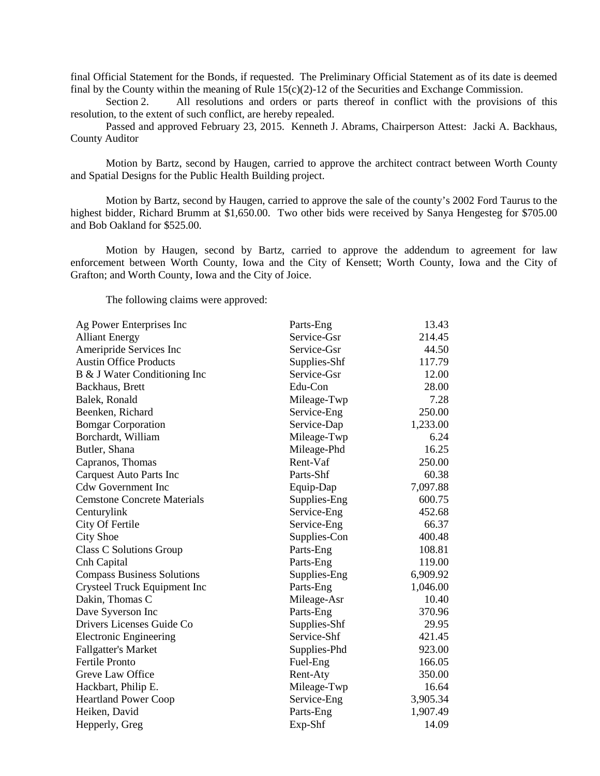final Official Statement for the Bonds, if requested. The Preliminary Official Statement as of its date is deemed final by the County within the meaning of Rule 15(c)(2)-12 of the Securities and Exchange Commission.

Section 2. All resolutions and orders or parts thereof in conflict with the provisions of this resolution, to the extent of such conflict, are hereby repealed.

Passed and approved February 23, 2015. Kenneth J. Abrams, Chairperson Attest: Jacki A. Backhaus, County Auditor

Motion by Bartz, second by Haugen, carried to approve the architect contract between Worth County and Spatial Designs for the Public Health Building project.

Motion by Bartz, second by Haugen, carried to approve the sale of the county's 2002 Ford Taurus to the highest bidder, Richard Brumm at \$1,650.00. Two other bids were received by Sanya Hengesteg for \$705.00 and Bob Oakland for \$525.00.

Motion by Haugen, second by Bartz, carried to approve the addendum to agreement for law enforcement between Worth County, Iowa and the City of Kensett; Worth County, Iowa and the City of Grafton; and Worth County, Iowa and the City of Joice.

The following claims were approved:

| Ag Power Enterprises Inc           | Parts-Eng    | 13.43    |
|------------------------------------|--------------|----------|
| <b>Alliant Energy</b>              | Service-Gsr  | 214.45   |
| Ameripride Services Inc            | Service-Gsr  | 44.50    |
| <b>Austin Office Products</b>      | Supplies-Shf | 117.79   |
| B & J Water Conditioning Inc       | Service-Gsr  | 12.00    |
| Backhaus, Brett                    | Edu-Con      | 28.00    |
| Balek, Ronald                      | Mileage-Twp  | 7.28     |
| Beenken, Richard                   | Service-Eng  | 250.00   |
| <b>Bomgar Corporation</b>          | Service-Dap  | 1,233.00 |
| Borchardt, William                 | Mileage-Twp  | 6.24     |
| Butler, Shana                      | Mileage-Phd  | 16.25    |
| Capranos, Thomas                   | Rent-Vaf     | 250.00   |
| <b>Carquest Auto Parts Inc</b>     | Parts-Shf    | 60.38    |
| <b>Cdw Government Inc</b>          | Equip-Dap    | 7,097.88 |
| <b>Cemstone Concrete Materials</b> | Supplies-Eng | 600.75   |
| Centurylink                        | Service-Eng  | 452.68   |
| City Of Fertile                    | Service-Eng  | 66.37    |
| <b>City Shoe</b>                   | Supplies-Con | 400.48   |
| <b>Class C Solutions Group</b>     | Parts-Eng    | 108.81   |
| Cnh Capital                        | Parts-Eng    | 119.00   |
| <b>Compass Business Solutions</b>  | Supplies-Eng | 6,909.92 |
| Crysteel Truck Equipment Inc       | Parts-Eng    | 1,046.00 |
| Dakin, Thomas C                    | Mileage-Asr  | 10.40    |
| Dave Syverson Inc                  | Parts-Eng    | 370.96   |
| Drivers Licenses Guide Co          | Supplies-Shf | 29.95    |
| <b>Electronic Engineering</b>      | Service-Shf  | 421.45   |
| Fallgatter's Market                | Supplies-Phd | 923.00   |
| <b>Fertile Pronto</b>              | Fuel-Eng     | 166.05   |
| Greve Law Office                   | Rent-Aty     | 350.00   |
| Hackbart, Philip E.                | Mileage-Twp  | 16.64    |
| <b>Heartland Power Coop</b>        | Service-Eng  | 3,905.34 |
| Heiken, David                      | Parts-Eng    | 1,907.49 |
| Hepperly, Greg                     | Exp-Shf      | 14.09    |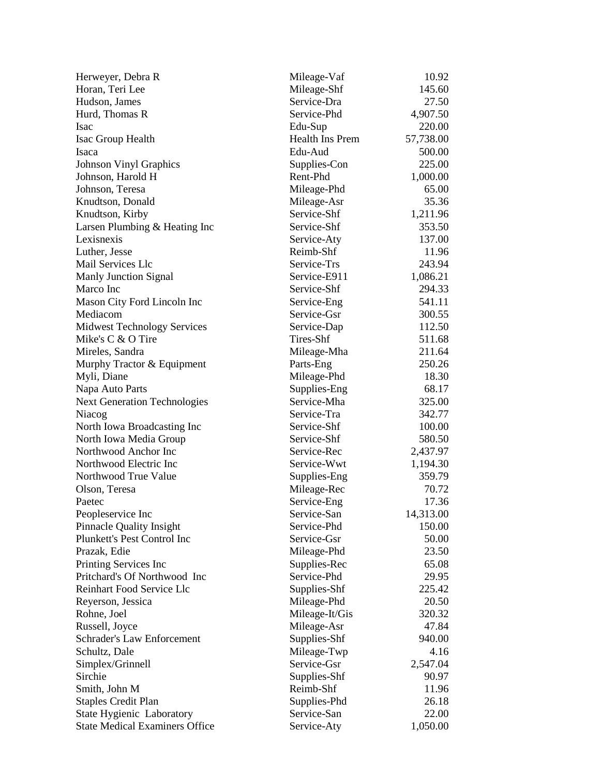| Herweyer, Debra R                     | Mileage-Vaf     | 10.92     |
|---------------------------------------|-----------------|-----------|
| Horan, Teri Lee                       | Mileage-Shf     | 145.60    |
| Hudson, James                         | Service-Dra     | 27.50     |
| Hurd, Thomas R                        | Service-Phd     | 4,907.50  |
| <b>Isac</b>                           | Edu-Sup         | 220.00    |
| Isac Group Health                     | Health Ins Prem | 57,738.00 |
| Isaca                                 | Edu-Aud         | 500.00    |
| <b>Johnson Vinyl Graphics</b>         | Supplies-Con    | 225.00    |
| Johnson, Harold H                     | Rent-Phd        | 1,000.00  |
| Johnson, Teresa                       | Mileage-Phd     | 65.00     |
| Knudtson, Donald                      | Mileage-Asr     | 35.36     |
| Knudtson, Kirby                       | Service-Shf     | 1,211.96  |
| Larsen Plumbing & Heating Inc         | Service-Shf     | 353.50    |
| Lexisnexis                            | Service-Aty     | 137.00    |
| Luther, Jesse                         | Reimb-Shf       | 11.96     |
| Mail Services Llc                     | Service-Trs     | 243.94    |
| <b>Manly Junction Signal</b>          | Service-E911    | 1,086.21  |
| Marco Inc                             | Service-Shf     | 294.33    |
| Mason City Ford Lincoln Inc           | Service-Eng     | 541.11    |
| Mediacom                              | Service-Gsr     | 300.55    |
| <b>Midwest Technology Services</b>    | Service-Dap     | 112.50    |
| Mike's C & O Tire                     | Tires-Shf       | 511.68    |
| Mireles, Sandra                       | Mileage-Mha     | 211.64    |
| Murphy Tractor & Equipment            | Parts-Eng       | 250.26    |
| Myli, Diane                           | Mileage-Phd     | 18.30     |
| Napa Auto Parts                       | Supplies-Eng    | 68.17     |
| <b>Next Generation Technologies</b>   | Service-Mha     | 325.00    |
| Niacog                                | Service-Tra     | 342.77    |
| North Iowa Broadcasting Inc           | Service-Shf     | 100.00    |
| North Iowa Media Group                | Service-Shf     | 580.50    |
| Northwood Anchor Inc                  | Service-Rec     | 2,437.97  |
| Northwood Electric Inc                | Service-Wwt     | 1,194.30  |
| Northwood True Value                  | Supplies-Eng    | 359.79    |
| Olson, Teresa                         | Mileage-Rec     | 70.72     |
| Paetec                                | Service-Eng     | 17.36     |
| Peopleservice Inc                     | Service-San     | 14,313.00 |
| <b>Pinnacle Quality Insight</b>       | Service-Phd     | 150.00    |
| Plunkett's Pest Control Inc           | Service-Gsr     | 50.00     |
| Prazak, Edie                          | Mileage-Phd     | 23.50     |
| Printing Services Inc                 | Supplies-Rec    | 65.08     |
| Pritchard's Of Northwood Inc          | Service-Phd     | 29.95     |
| Reinhart Food Service Llc             | Supplies-Shf    | 225.42    |
| Reyerson, Jessica                     | Mileage-Phd     | 20.50     |
| Rohne, Joel                           | Mileage-It/Gis  | 320.32    |
| Russell, Joyce                        | Mileage-Asr     | 47.84     |
| <b>Schrader's Law Enforcement</b>     | Supplies-Shf    | 940.00    |
| Schultz, Dale                         | Mileage-Twp     | 4.16      |
| Simplex/Grinnell                      | Service-Gsr     | 2,547.04  |
| Sirchie                               | Supplies-Shf    | 90.97     |
| Smith, John M                         | Reimb-Shf       | 11.96     |
| <b>Staples Credit Plan</b>            | Supplies-Phd    | 26.18     |
| State Hygienic Laboratory             | Service-San     | 22.00     |
| <b>State Medical Examiners Office</b> | Service-Aty     | 1,050.00  |
|                                       |                 |           |